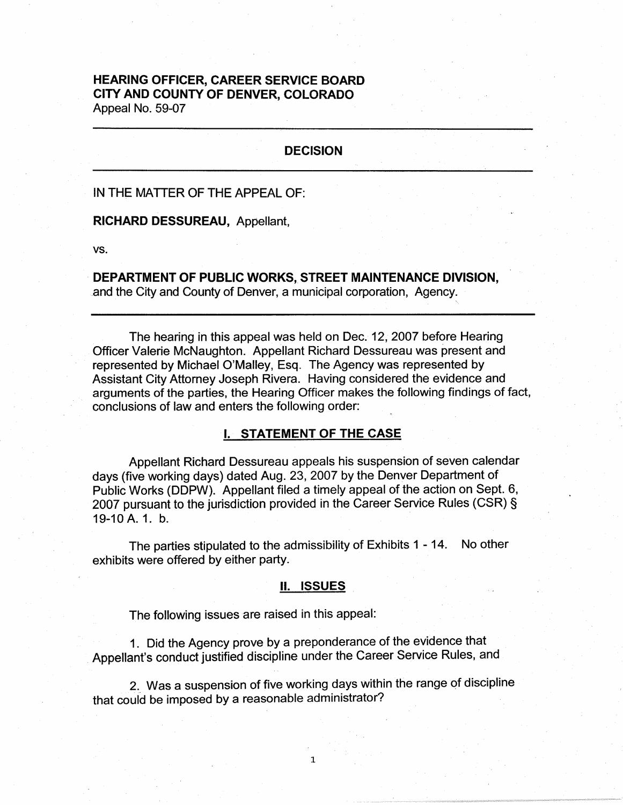## **HEARING OFFICER, CAREER SERVICE BOARD CITY AND COUNTY OF DENVER, COLORADO**  Appeal No. 59-07

#### **DECISION**

#### IN THE MATTER OF THE APPEAL OF:

#### **RICHARD DESSUREAU,** Appellant,

vs.

**DEPARTMENT OF PUBLIC WORKS, STREET MAINTENANCE DIVISION,**  and the City and County of Denver, a municipal corporation, Agency.

The hearing in this appeal was held on Dec. 12, 2007 before Hearing Officer Valerie McNaughton. Appellant Richard Dessureau was present and represented by Michael O'Malley, Esq. The Agency was represented by Assistant City Attorney Joseph Rivera. Having considered the evidence and arguments of the parties, the Hearing Officer makes the following findings of fact, conclusions of law and enters the following order:

## I. **STATEMENT OF THE CASE**

Appellant Richard Dessureau appeals his suspension of seven calendar days (five working days) dated Aug. 23, 2007 by the Denver Department of Public Works (DDPW). Appellant filed a timely appeal of the action on Sept. 6, 2007 pursuant to the jurisdiction provided in the Career Service Rules (CSR) § 19-10 A. 1. b.

The parties stipulated to the admissibility of Exhibits 1 - 14. No other exhibits were offered by either party.

#### **11. ISSUES**

The following issues are raised in this appeal:

1 . Did the Agency prove by a preponderance of the evidence that Appellant's conduct justified discipline under the Career Service Rules, and

2. Was a suspension of five working days within the range of discipline that could be imposed by a reasonable administrator?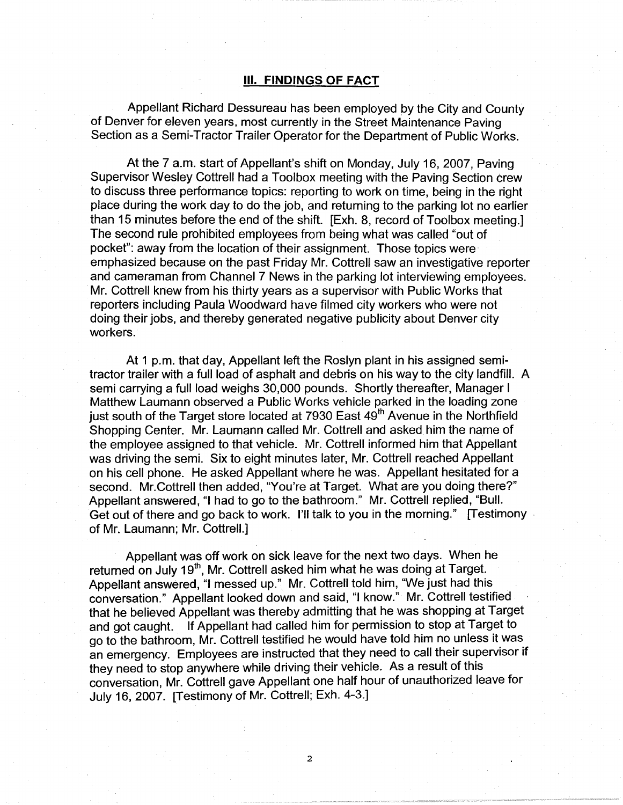#### Ill. **FINDINGS OF FACT**

Appellant Richard Dessureau has been employed by the City and County of Denver for eleven years, most currently in the Street Maintenance Paving Section as a Semi-Tractor Trailer Operator for the Department of Public Works.

At the 7 a.m. start of Appellant's shift on Monday, July 16, 2007, Paving Supervisor Wesley Cottrell had a Toolbox meeting with the Paving Section crew to discuss three performance topics: reporting to work on time, being in the right place during the work day to do the job, and returning to the parking lot no earlier than 15 minutes before the end of the shift. [Exh. 8, record of Toolbox meeting.] The second rule prohibited employees from being what was called "out of pocket": away from the location of their assignment. Those topics were emphasized because on the past Friday Mr. Cottrell saw an investigative reporter and cameraman from Channel 7 News in the parking lot interviewing employees. Mr. Cottrell knew from his thirty years as a supervisor with Public Works that reporters including Paula Woodward have filmed city workers who were not doing their jobs, and thereby generated negative publicity about Denver city workers.

At 1 p.m. that day, Appellant left the Roslyn plant in his assigned semitractor trailer with a full load of asphalt and debris on his way to the city landfill. A semi carrying a full load weighs 30,000 pounds. Shortly thereafter, Manager I Matthew Laumann observed a Public Works vehicle parked in the loading zone just south of the Target store located at 7930 East 49<sup>th</sup> Avenue in the Northfield Shopping Center. Mr. Laumann called Mr. Cottrell and asked him the name of the employee assigned to that vehicle. Mr. Cottrell informed him that Appellant was driving the semi. Six to eight minutes later, Mr. Cottrell reached Appellant on his cell phone. He asked Appellant where he was. Appellant hesitated for a second. Mr.Cottrell then added, "You're at Target. What are you doing there?" Appellant answered, "I had to go to the bathroom." Mr. Cottrell replied, "Bull. Get out of there and go back to work. I'll talk to you in the morning." [Testimony . of Mr. Laumann; Mr. Cottrell.]

Appellant was off work on sick leave for the next two days. When he returned on July 19<sup>th</sup>, Mr. Cottrell asked him what he was doing at Target. Appellant answered, "I messed up." Mr. Cottrell told him, "We just had this conversation." Appellant looked down and said, "I know." Mr. Cottrell testified that he believed Appellant was thereby admitting that he was shopping at Target and got caught. If Appellant had called him for permission to stop at Target to go to the bathroom, Mr. Cottrell testified he would have told him no unless it was an emergency. Employees are instructed that they need to call their supervisor if they need to stop anywhere while driving their vehicle. As a result of this conversation, Mr. Cottrell gave Appellant one half hour of unauthorized leave for July 16, 2007. [Testimony of Mr. Cottrell; Exh. 4-3.]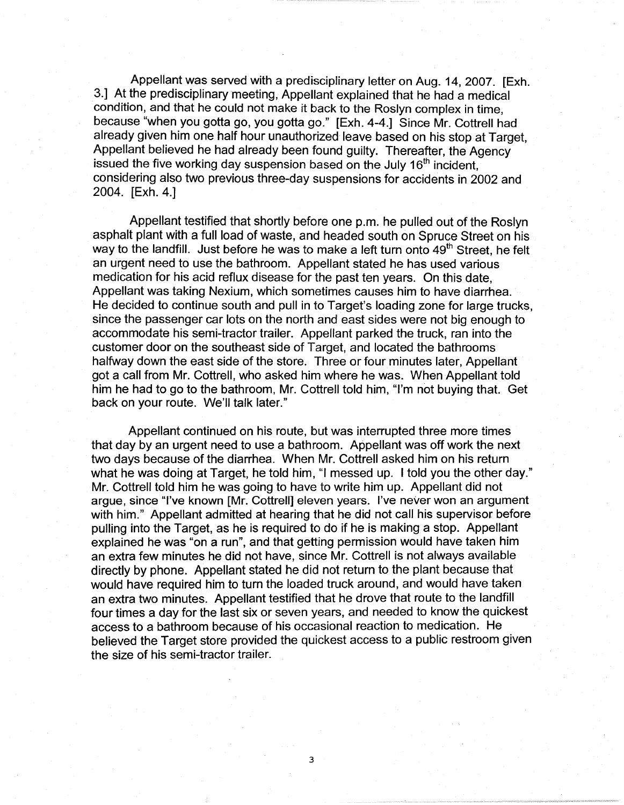Appellant was served with a predisciplinary letter on Aug. 14, 2007. [Exh. 3.] At the predisciplinary meeting, Appellant explained that he had a medical condition, and that he could not make it back to the Roslyn complex in time, because "when you gotta go, you gotta go." [Exh. 4-4.] Since Mr. Cottrell had already given him one half hour unauthorized leave based on his stop at Target, Appellant believed he had already been found guilty. Thereafter, the Agency issued the five working day suspension based on the July  $16<sup>th</sup>$  incident, considering also two previous three-day suspensions for accidents in 2002 and 2004. [Exh. 4.]

Appellant testified that shortly before one p.m. he pulled out of the Roslyn asphalt plant with a full load of waste, and headed south on Spruce Street on his way to the landfill. Just before he was to make a left turn onto  $49<sup>th</sup>$  Street, he felt an urgent need to use the bathroom. Appellant stated he has used various medication for his acid reflux disease for the past ten years. On this date, Appellant was taking Nexium, which sometimes causes him to have diarrhea. He decided to continue south and pull in to Target's loading zone for large trucks, since the passenger car lots on the north and east sides were not big enough to accommodate his semi-tractor trailer. Appellant parked the truck, ran into the customer door on the southeast side of Target, and located the bathrooms halfway down the east side of the store. Three or four minutes later, Appellant got a call from Mr. Cottrell, who asked him where he was. When Appellant told him he had to go to the bathroom, Mr. Cottrell told him, "I'm not buying that. Get back on your route. We'll talk later."

Appellant continued on his route, but was interrupted three more times that day by an urgent need to use a bathroom. Appellant was off work the next two days because of the diarrhea. When Mr. Cottrell asked him on his return what he was doing at Target, he told him, "I messed up. I told you the other day." Mr. Cottrell told him he was going to have to write him up. Appellant did not argue, since "I've known [Mr. Cottrell] eleven years. I've never won an argument with him." Appellant admitted at hearing that he did not call his supervisor before pulling into the Target, as he is required to do if he is making a stop. Appellant explained he was "on a run", and that getting permission would have taken him an extra few minutes he did not have, since Mr. Cottrell is not always available directly by phone. Appellant stated he did not return to the plant because that would have required him to turn the loaded truck around, and would have taken an extra two minutes. Appellant testified that he drove that route to the landfill four times a day for the last six or seven years, and needed to know the quickest access to a bathroom because of his occasional reaction to medication. He believed the Target store provided the quickest access to a public restroom given the size of his semi-tractor trailer.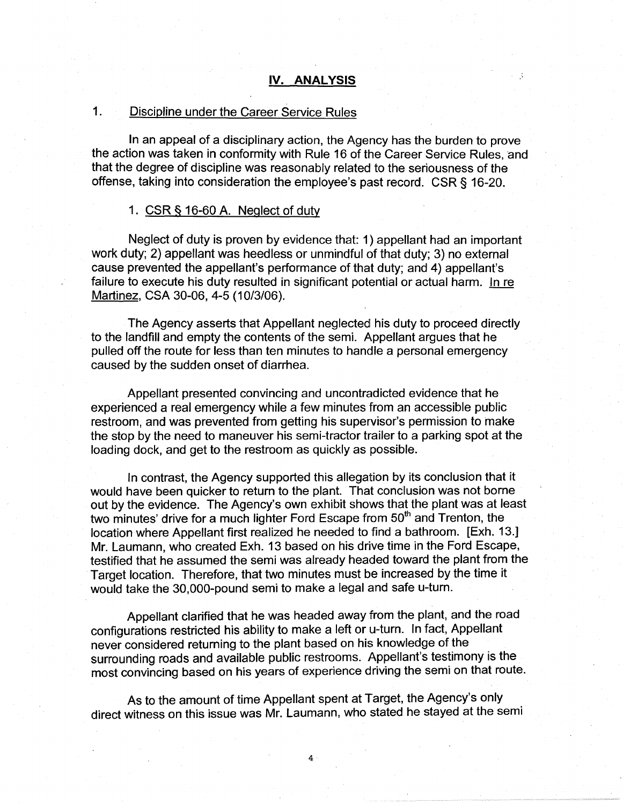## 1. Discipline under the Career Service Rules

In an appeal of a disciplinary action, the Agency has the burden to prove the action was taken in conformity with Rule 16 of the Career Service Rules, and that the degree of discipline was reasonably related to the seriousness of the offense, taking into consideration the employee's past record. CSR § 16-20.

#### 1.  $CSR$  § 16-60 A. Neglect of duty

Neglect of duty is proven by evidence that: 1) appellant had an important work duty; 2) appellant was heedless or unmindful of that duty; 3) no external cause prevented the appellant's performance of that duty; and 4) appellant's failure to execute his duty resulted in significant potential or actual harm. In re Martinez, CSA 30-06, 4-5 (10/3/06).

The Agency asserts that Appellant neglected his duty to proceed directly to the landfill and empty the contents of the semi. Appellant argues that he pulled off the route for less than ten minutes to handle a personal emergency caused by the sudden onset of diarrhea.

Appellant presented convincing and uncontradicted evidence that he experienced a real emergency while a few minutes from an accessible public restroom, and was prevented from getting his supervisor's permission to make the stop by the need to maneuver his semi-tractor trailer to a parking spot at the loading dock, and get to the restroom as quickly as possible.

In contrast, the Agency supported this allegation by its conclusion that it would have been quicker to return to the plant. That conclusion was not borne out by the evidence. The Agency's own exhibit shows that the plant was at least two minutes' drive for a much lighter Ford Escape from 50<sup>th</sup> and Trenton, the location where Appellant first realized he needed to find a bathroom. [Exh. 13.] Mr. Laumann, who created Exh. 13 based on his drive time in the Ford Escape, testified that he assumed the semi was already headed toward the plant from the Target location. Therefore, that two minutes must be increased by the time it would take the 30,000-pound semi to make a legal and safe u-turn.

Appellant clarified that he was headed away from the plant, and the road configurations restricted his ability to make a left or u-turn. In fact, Appellant never considered returning to the plant based on his knowledge of the surrounding roads and available public restrooms. Appellant's testimony is the most convincing based on his years of experience driving the semi on that route.

As to the amount of time Appellant spent at Target, the Agency's only direct witness on this issue was Mr. Laumann, who stated he stayed at the semi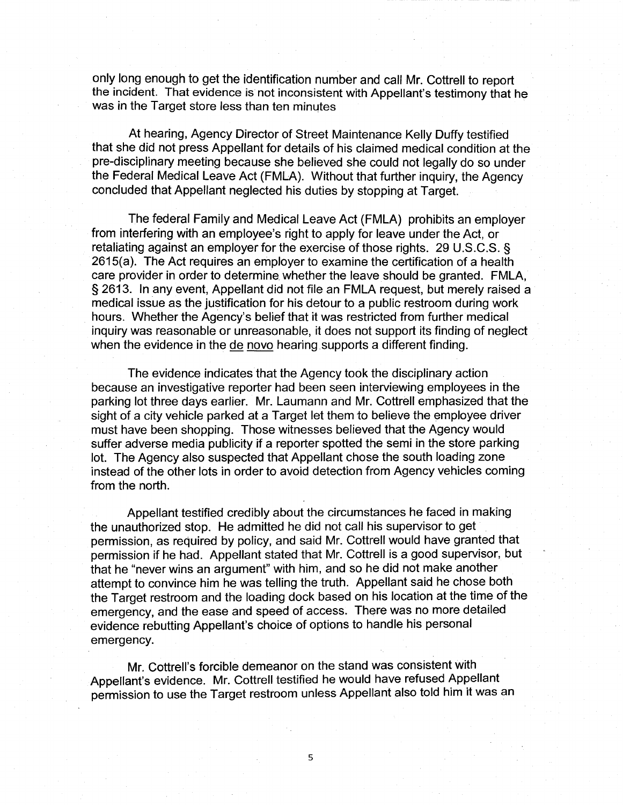only long enough to get the identification number and call Mr. Cottrell to report the incident. That evidence is not inconsistent with Appellant's testimony that he was in the Target store less than ten minutes

At hearing, Agency Director of Street Maintenance Kelly Duffy testified that she did not press Appellant for details of his claimed medical condition at the pre-disciplinary meeting because she believed she could not legally do so under the Federal Medical Leave Act (FMLA). Without that further inquiry, the Agency concluded that Appellant neglected his duties by stopping at Target.

The federal Family and Medical Leave Act (FMLA) prohibits an employer from interfering with an employee's right to apply for leave under the Act, or retaliating against an employer for the exercise of those rights. 29 U.S.C.S. § 2615(a). The Act requires an employer to examine the certification of a health care provider in order to determine. whether the leave should be granted. FMLA, § 2613. In any event, Appellant did not file an FMLA request, but merely raised a medical issue as the justification for his detour to a public restroom during work hours. Whether the Agency's belief that it was restricted from further medical inquiry was reasonable or unreasonable, it does not support its finding of neglect when the evidence in the de novo hearing supports a different finding.

The evidence indicates that the Agency took the disciplinary action because an investigative reporter had been seen interviewing employees in the parking lot three days earlier. Mr. Laumann and Mr. Cottrell emphasized that the sight of a city vehicle parked at a Target let them to believe the employee driver must have been shopping. Those witnesses believed that the Agency would suffer adverse media publicity if a reporter spotted the semi in the store parking lot. The Agency also suspected that Appellant chose the south loading zone instead of the other lots in order to avoid detection from Agency vehicles coming from the north.

Appellant testified credibly about the circumstances he faced in making the unauthorized stop. He admitted he did not call his supervisor to get permission, as required by policy, and said Mr. Cottrell would have granted that permission if he had. Appellant stated that Mr. Cottrell is a good supervisor, but that he "never wins an argument" with him, and so he did not make another attempt to convince him he was telling the truth. Appellant said he chose both the Target restroom and the loading dock based on his location at the time of the emergency, and the ease and speed of access. There was no more detailed evidence rebutting Appellant's choice of options to handle his personal emergency.

Mr. Cottrell's forcible demeanor on the stand was consistent with Appellant's evidence. Mr. Cottrell testified he would have refused Appellant permission to use the Target restroom unless Appellant also told him it was an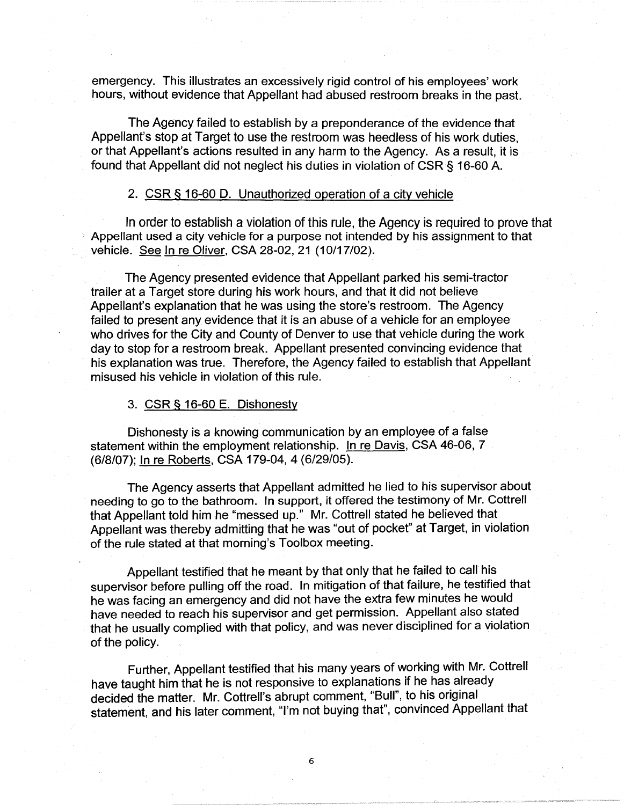emergency. This illustrates an excessively rigid control of his employees' work hours, without evidence that Appellant had abused restroom breaks in the past.

The Agency failed to establish by a preponderance of the evidence that Appellant's stop at Target to use the restroom was heedless of his work duties, or that Appellant's actions resulted in any harm to the Agency. As a result, it is found that Appellant did not neglect his duties in violation of CSR § 16-60 A.

### 2. CSR § 16-60 D. Unauthorized operation of a city vehicle

In order to establish a violation of this rule, the Agency is required to prove that Appellant used a city vehicle for a purpose not intended by his assignment to that vehicle. See In re Oliver, CSA 28-02, 21 (10/17/02).

The Agency presented evidence that Appellant parked his semi-tractor trailer at a Target store during his work hours, and that it did not believe Appellant's explanation that he was using the store's restroom. The Agency failed to present any evidence that it is an abuse of a vehicle for an employee who drives for the City and County of Denver to use that vehicle during the work day to stop for a restroom break. Appellant presented convincing evidence that his explanation was true. Therefore, the Agency failed to establish that Appellant misused his vehicle in violation of this rule.

### 3. CSR § 16-60 E. Dishonesty

Dishonesty is a knowing communication by an employee of a false statement within the employment relationship. In re Davis, CSA 46-06, 7 (6/8/07); In re Roberts, CSA 179-04, 4 (6/29/05).

The Agency asserts that Appellant admitted he lied to his supervisor about needing to go to the bathroom. In support, it offered the testimony of Mr. Cottrell that Appellant told him he "messed up." Mr. Cottrell stated he believed that Appellant was thereby admitting that he was "out of pocket" at Target, in violation of the rule stated at that morning's Toolbox meeting.

Appellant testified that he meant by that only that he failed to call his supervisor before pulling off the road. In mitigation of that failure, he testified that he was facing an emergency and did not have the extra few minutes he would have needed to reach his supervisor and get permission. Appellant also stated that he usually complied with that policy, and was never disciplined for a violation of the policy.

Further, Appellant testified that his many years of working with Mr. Cottrell have taught him that he is not responsive to explanations if he has already decided the matter. Mr. Cottrell's abrupt comment, "Bull", to his original statement, and his later comment, "I'm not buying that", convinced Appellant that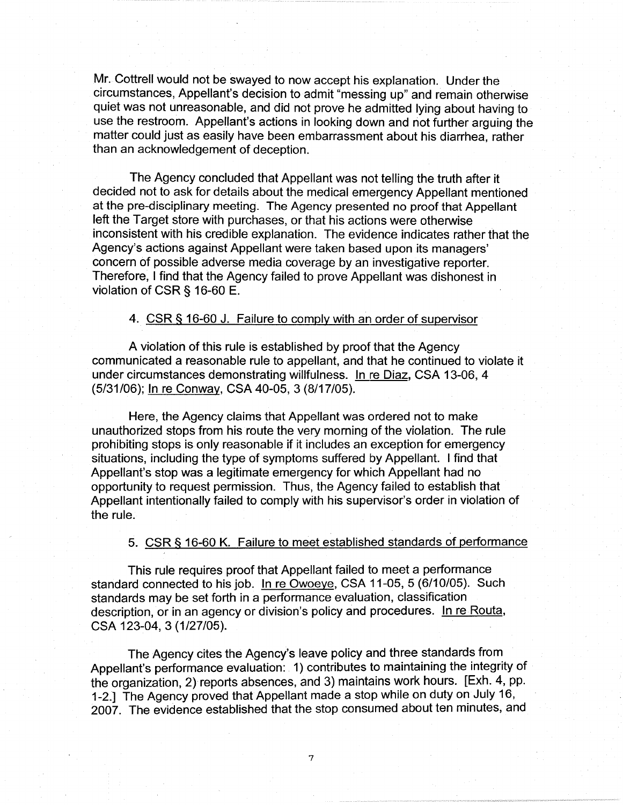Mr. Cottrell would not be swayed to now accept his explanation. Under the circumstances, Appellant's decision to admit "messing up" and remain otherwise quiet was not unreasonable, and did not prove he admitted lying about having to use the restroom. Appellant's actions in looking down and not further arguing the matter could just as easily have been embarrassment about his diarrhea, rather than an acknowledgement of deception.

The Agency concluded that Appellant was not telling the truth after it decided not to ask for details about the medical emergency Appellant mentioned at the pre-disciplinary meeting. The Agency presented no proof that Appellant left the Target store with purchases, or that his actions were otherwise inconsistent with his credible explanation. The evidence indicates rather that the Agency's actions against Appellant were taken based upon its managers' concern of possible adverse media coverage by an investigative reporter. Therefore, I find that the Agency failed to prove Appellant was dishonest in violation of CSR § 16-60 E.

## 4. CSR § 16-60 J. Failure to comply with an order of supervisor

A violation of this rule is established by proof that the Agency communicated a reasonable rule to appellant, and that he continued to violate it under circumstances demonstrating willfulness. In re Diaz, CSA 13-06, 4 (5/31/06); In re Conway, CSA 40-05, 3 (8/17/05).

Here, the Agency claims that Appellant was ordered not to make unauthorized stops from his route the very morning of the violation. The rule prohibiting stops is only reasonable if it includes an exception for emergency situations, including the type of symptoms suffered by Appellant. I find that Appellant's stop was a legitimate emergency for which Appellant had no opportunity to request permission. Thus, the Agency failed to establish that Appellant intentionally failed to comply with his supervisor's order in violation of the rule.

## 5. CSR § 16-60 K. Failure to meet established standards of performance

This rule requires proof that Appellant failed to meet a performance standard connected to his job. In re Owoeye, CSA 11-05, 5 (6/10/05). Such standards may be set forth in a performance evaluation, classification description, or in an agency or division's policy and procedures. In re Routa, CSA 123-04, 3 (1/27/05).

The Agency cites the Agency's leave policy and three standards from Appellant's performance evaluation: 1) contributes to maintaining the integrity of the organization, 2) reports absences, and 3) maintains work hours. [Exh. 4, pp. 1-2.] The Agency proved that Appellant made a stop while on duty on July 16, 2007. The evidence established that the stop consumed about ten minutes, and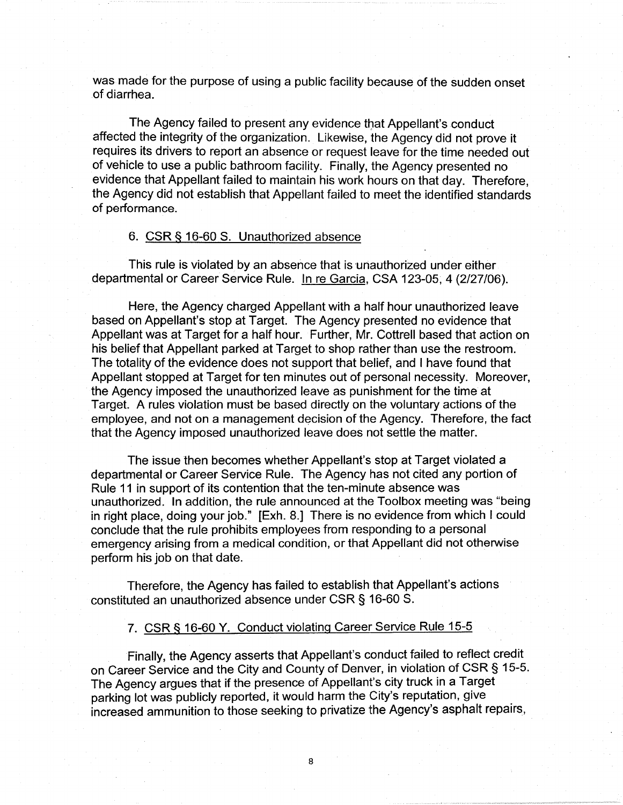was made for the purpose of using a public facility because of the sudden onset of diarrhea.

The Agency failed to present any evidence that Appellant's conduct affected the integrity of the organization. Likewise, the Agency did not prove it requires its drivers to report an absence or request leave for the time needed out of vehicle to use a public bathroom facility. Finally, the Agency presented no evidence that Appellant failed to maintain his work hours on that day. Therefore, the Agency did not establish that Appellant failed to meet the identified standards of performance.

## 6. CSR § 16-60 S. Unauthorized absence

This rule is violated by an absence that is unauthorized under either departmental or Career Service Rule. In re Garcia, CSA 123-05, 4 (2/27/06).

Here, the Agency charged Appellant with a half hour unauthorized leave based on Appellant's stop at Target. The Agency presented no evidence that Appellant was at Target for a half hour. Further, Mr. Cottrell based that action on his belief that Appellant parked at Target to shop rather than use the restroom. The totality of the evidence does not support that belief, and I have found that Appellant stopped at Target for ten minutes out of personal necessity. Moreover, the Agency imposed the unauthorized leave as punishment for the time at Target. A rules violation must be based directly on the voluntary actions of the employee, and not on a management decision of the Agency. Therefore, the fact that the Agency imposed unauthorized leave does not settle the matter.

The issue then becomes whether Appellant's stop at Target violated a departmental or Career Service Rule. The Agency has not cited any portion of Rule 11 in support of its contention that the ten-minute absence was unauthorized. In addition, the rule announced at the Toolbox meeting was "being in right place, doing your job." [Exh. 8.] There is no evidence from which I could conclude that the rule prohibits employees from responding to a personal emergency arising from a medical condition, or that Appellant did not otherwise perform his job on that date.

Therefore, the Agency has failed to establish that Appellant's actions constituted an unauthorized absence under CSR § 16-60 S.

# 7. CSR§ 16-60 Y. Conduct violating Career Service Rule 15-5

Finally, the Agency asserts that Appellant's conduct failed to reflect credit on Career Service and the City and County of Denver, in violation of CSR § 15-5. The Agency argues that if the presence of Appellant's city truck in a Target parking lot was publicly reported, it would harm the City's reputation, give increased ammunition to those seeking to privatize the Agency's asphalt repairs,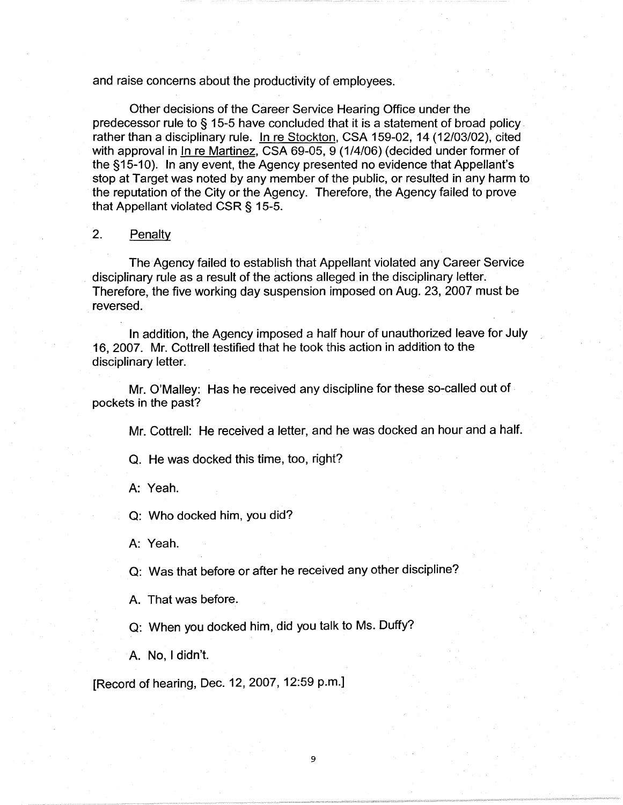and raise concerns about the productivity of employees.

Other decisions of the Career Service Hearing Office under the predecessor rule to § 15-5 have concluded that it is a statement of broad policy rather than a disciplinary rule. In re Stockton, CSA 159-02, 14 (12/03/02), cited with approval in In re Martinez, CSA 69-05, 9 (1/4/06) (decided under former of the §15-10). In any event, the Agency presented no evidence that Appellant's stop at Target was noted by any member of the public, or resulted in any harm to the reputation of the City or the Agency. Therefore, the Agency failed to prove that Appellant violated CSR§ 15-5.

## 2. Penalty

The Agency failed to establish that Appellant violated any Career Service disciplinary rule as a result of the actions alleged in the disciplinary letter. Therefore, the five working day suspension imposed on Aug. 23, 2007 must be reversed.

In addition, the Agency imposed a half hour of unauthorized leave for July 16, 2007. Mr. Cottrell testified that he took this action in addition to the disciplinary letter.

Mr. O'Malley: Has he received any discipline for these so-called out of pockets in the past?

Mr. Cottrell: He received a letter, and he was docked an hour and a half.

Q. He was docked this time, too, right?

A: Yeah.

Q: Who docked him, you did?

A: Yeah.

Q: Was that before or after he received any other discipline?

9

A. That was before.

Q: When you docked him, did you talk to Ms. Duffy?

A. No, I didn't.

[Record of hearing, Dec. 12, 2007, 12:59 p.m.]